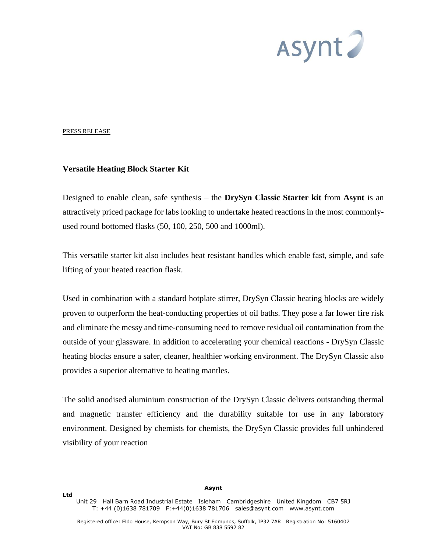

## PRESS RELEASE

## **Versatile Heating Block Starter Kit**

Designed to enable clean, safe synthesis – the **DrySyn Classic Starter kit** from **Asynt** is an attractively priced package for labs looking to undertake heated reactions in the most commonlyused round bottomed flasks (50, 100, 250, 500 and 1000ml).

This versatile starter kit also includes heat resistant handles which enable fast, simple, and safe lifting of your heated reaction flask.

Used in combination with a standard hotplate stirrer, DrySyn Classic heating blocks are widely proven to outperform the heat-conducting properties of oil baths. They pose a far lower fire risk and eliminate the messy and time-consuming need to remove residual oil contamination from the outside of your glassware. In addition to accelerating your chemical reactions - DrySyn Classic heating blocks ensure a safer, cleaner, healthier working environment. The DrySyn Classic also provides a superior alternative to heating mantles.

The solid anodised aluminium construction of the DrySyn Classic delivers outstanding thermal and magnetic transfer efficiency and the durability suitable for use in any laboratory environment. Designed by chemists for chemists, the DrySyn Classic provides full unhindered visibility of your reaction

**Asynt** 

Unit 29 Hall Barn Road Industrial Estate Isleham Cambridgeshire United Kingdom CB7 5RJ T: +44 (0)1638 781709 F:+44(0)1638 781706 [sales@asynt.com](mailto:sales@asynt.com) [www.asynt.com](http://www.asynt.com/)